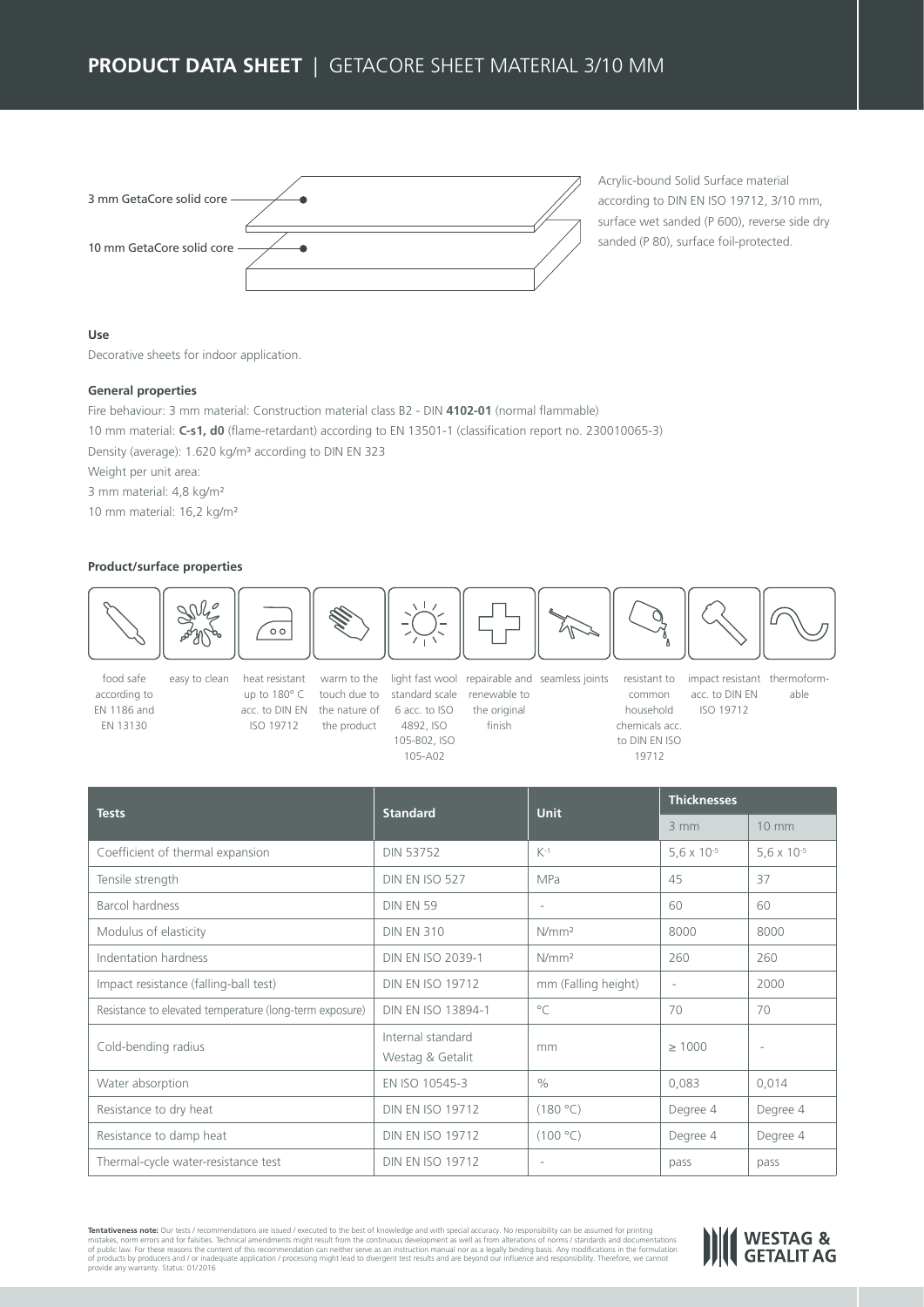# **PRODUCT DATA SHEET | GETACORE SHEET MATERIAL 3/10 MM**

| 3 mm GetaCore solid core -  |  |
|-----------------------------|--|
| 10 mm GetaCore solid core - |  |
|                             |  |

Acrylic-bound Solid Surface material according to DIN EN ISO 19712, 3/10 mm, surface wet sanded (P 600), reverse side dry sanded (P 80), surface foil-protected.

## **Use**

Decorative sheets for indoor application.

### **General properties**

Fire behaviour: 3 mm material: Construction material class B2 - DIN **4102-01** (normal flammable) 10 mm material: **C-s1, d0** (flame-retardant) according to EN 13501-1 (classification report no. 230010065-3) Density (average): 1.620 kg/m³ according to DIN EN 323 Weight per unit area: 3 mm material: 4,8 kg/m²

10 mm material: 16,2 kg/m²

### **Product/surface properties**



food safe according to EN 1186 and EN 13130

easy to clean heat resistant up to 180° C touch due to standard scale renewable to acc. to DIN EN the nature of 6 acc. to ISO ISO 19712 the product



the original finish

warm to the light fast wool repairable and seamless joints resistant to

ISO 19712 common household chemicals acc. to DIN EN ISO 19712

impact resistant thermoformacc. to DIN EN able

| <b>Tests</b>                                            | <b>Standard</b>                       | <b>Unit</b>         | <b>Thicknesses</b>            |                               |
|---------------------------------------------------------|---------------------------------------|---------------------|-------------------------------|-------------------------------|
|                                                         |                                       |                     | $3 \, \text{mm}$              | 10 mm                         |
| Coefficient of thermal expansion                        | <b>DIN 53752</b>                      | $K-1$               | 5,6 $\times$ 10 <sup>-5</sup> | 5,6 $\times$ 10 <sup>-5</sup> |
| Tensile strength                                        | <b>DIN EN ISO 527</b>                 | <b>MPa</b>          | 45                            | 37                            |
| Barcol hardness                                         | <b>DIN EN 59</b>                      | $\sim$              | 60                            | 60                            |
| Modulus of elasticity                                   | <b>DIN EN 310</b>                     | N/mm <sup>2</sup>   | 8000                          | 8000                          |
| Indentation hardness                                    | <b>DIN EN ISO 2039-1</b>              | N/mm <sup>2</sup>   | 260                           | 260                           |
| Impact resistance (falling-ball test)                   | <b>DIN EN ISO 19712</b>               | mm (Falling height) | $\sim$                        | 2000                          |
| Resistance to elevated temperature (long-term exposure) | DIN EN ISO 13894-1                    | $\circ$ C           | 70                            | 70                            |
| Cold-bending radius                                     | Internal standard<br>Westag & Getalit | mm                  | >1000                         |                               |
| Water absorption                                        | EN ISO 10545-3                        | $\frac{0}{0}$       | 0,083                         | 0,014                         |
| Resistance to dry heat                                  | <b>DIN EN ISO 19712</b>               | (180 °C)            | Degree 4                      | Degree 4                      |
| Resistance to damp heat                                 | <b>DIN EN ISO 19712</b>               | (100 °C)            | Degree 4                      | Degree 4                      |
| Thermal-cycle water-resistance test                     | <b>DIN EN ISO 19712</b>               | $\overline{a}$      | pass                          | pass                          |

Status: 01/2016 **Tentativeness note:** Our tests / recommendations are issued / executed to the best of knowledge and with special accuracy. No responsibility can be assumed for printing<br>mistakes, norm errors and for falsities. Technical a